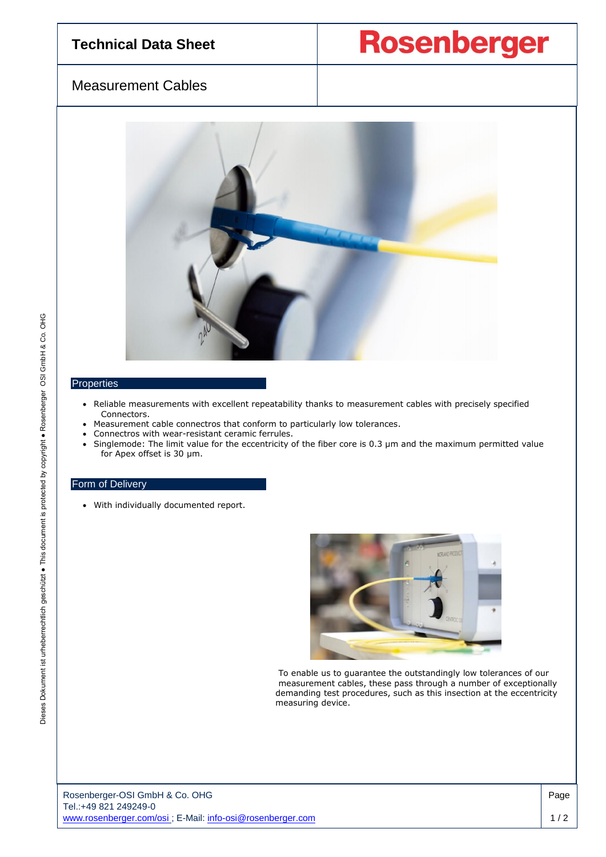## **Technical Data Sheet**

**Rosenberger** 

## Measurement Cables



## **Properties**

- Reliable measurements with excellent repeatability thanks to measurement cables with precisely specified Connectors.
- Measurement cable connectros that conform to particularly low tolerances.
- Connectros with wear-resistant ceramic ferrules.
- Singlemode: The limit value for the eccentricity of the fiber core is 0.3 µm and the maximum permitted value for Apex offset is 30 µm.

## Form of Delivery

• With individually documented report.



 To enable us to guarantee the outstandingly low tolerances of our measurement cables, these pass through a number of exceptionally demanding test procedures, such as this insection at the eccentricity measuring device.